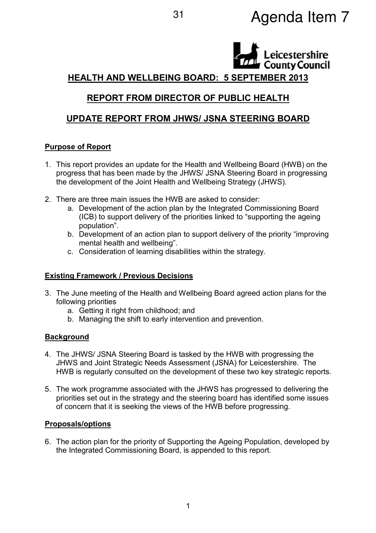# <sup>31</sup> Agenda Item 7

# Leicestershire HEALTH AND WELLBEING BOARD: 5 SEPTEMBER 2013

## REPORT FROM DIRECTOR OF PUBLIC HEALTH

## UPDATE REPORT FROM JHWS/ JSNA STEERING BOARD

#### Purpose of Report

- 1. This report provides an update for the Health and Wellbeing Board (HWB) on the progress that has been made by the JHWS/ JSNA Steering Board in progressing the development of the Joint Health and Wellbeing Strategy (JHWS).
- 2. There are three main issues the HWB are asked to consider:
	- a. Development of the action plan by the Integrated Commissioning Board (ICB) to support delivery of the priorities linked to "supporting the ageing population".
	- b. Development of an action plan to support delivery of the priority "improving mental health and wellbeing".
	- c. Consideration of learning disabilities within the strategy.

#### Existing Framework / Previous Decisions

- 3. The June meeting of the Health and Wellbeing Board agreed action plans for the following priorities
	- a. Getting it right from childhood; and
	- b. Managing the shift to early intervention and prevention.

#### **Background**

- 4. The JHWS/ JSNA Steering Board is tasked by the HWB with progressing the JHWS and Joint Strategic Needs Assessment (JSNA) for Leicestershire. The HWB is regularly consulted on the development of these two key strategic reports.
- 5. The work programme associated with the JHWS has progressed to delivering the priorities set out in the strategy and the steering board has identified some issues of concern that it is seeking the views of the HWB before progressing.

#### Proposals/options

6. The action plan for the priority of Supporting the Ageing Population, developed by the Integrated Commissioning Board, is appended to this report.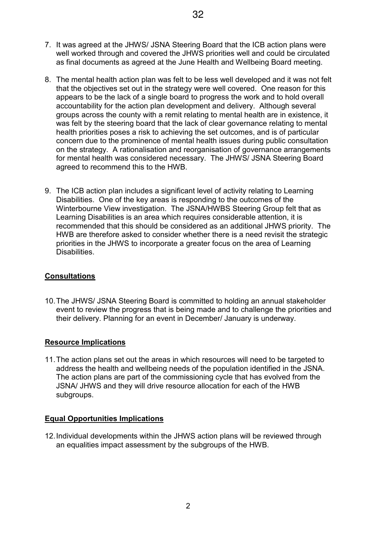- 7. It was agreed at the JHWS/ JSNA Steering Board that the ICB action plans were well worked through and covered the JHWS priorities well and could be circulated as final documents as agreed at the June Health and Wellbeing Board meeting.
- 8. The mental health action plan was felt to be less well developed and it was not felt that the objectives set out in the strategy were well covered. One reason for this appears to be the lack of a single board to progress the work and to hold overall accountability for the action plan development and delivery. Although several groups across the county with a remit relating to mental health are in existence, it was felt by the steering board that the lack of clear governance relating to mental health priorities poses a risk to achieving the set outcomes, and is of particular concern due to the prominence of mental health issues during public consultation on the strategy. A rationalisation and reorganisation of governance arrangements for mental health was considered necessary. The JHWS/ JSNA Steering Board agreed to recommend this to the HWB.
- 9. The ICB action plan includes a significant level of activity relating to Learning Disabilities. One of the key areas is responding to the outcomes of the Winterbourne View investigation. The JSNA/HWBS Steering Group felt that as Learning Disabilities is an area which requires considerable attention, it is recommended that this should be considered as an additional JHWS priority. The HWB are therefore asked to consider whether there is a need revisit the strategic priorities in the JHWS to incorporate a greater focus on the area of Learning Disabilities.

#### **Consultations**

10. The JHWS/ JSNA Steering Board is committed to holding an annual stakeholder event to review the progress that is being made and to challenge the priorities and their delivery. Planning for an event in December/ January is underway.

#### Resource Implications

11. The action plans set out the areas in which resources will need to be targeted to address the health and wellbeing needs of the population identified in the JSNA. The action plans are part of the commissioning cycle that has evolved from the JSNA/ JHWS and they will drive resource allocation for each of the HWB subgroups.

#### Equal Opportunities Implications

12. Individual developments within the JHWS action plans will be reviewed through an equalities impact assessment by the subgroups of the HWB.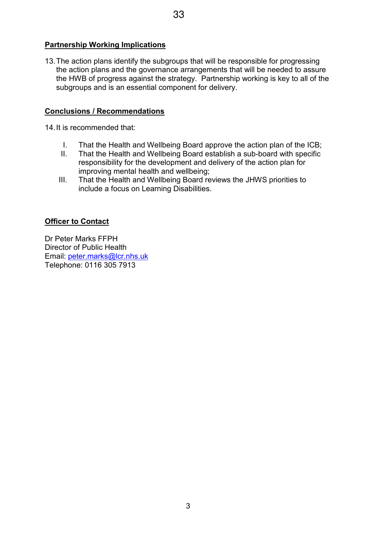#### Partnership Working Implications

13. The action plans identify the subgroups that will be responsible for progressing the action plans and the governance arrangements that will be needed to assure the HWB of progress against the strategy. Partnership working is key to all of the subgroups and is an essential component for delivery.

#### Conclusions / Recommendations

14. It is recommended that:

- I. That the Health and Wellbeing Board approve the action plan of the ICB;
- II. That the Health and Wellbeing Board establish a sub-board with specific responsibility for the development and delivery of the action plan for improving mental health and wellbeing;
- III. That the Health and Wellbeing Board reviews the JHWS priorities to include a focus on Learning Disabilities.

#### Officer to Contact

Dr Peter Marks FFPH Director of Public Health Email: peter.marks@lcr.nhs.uk Telephone: 0116 305 7913